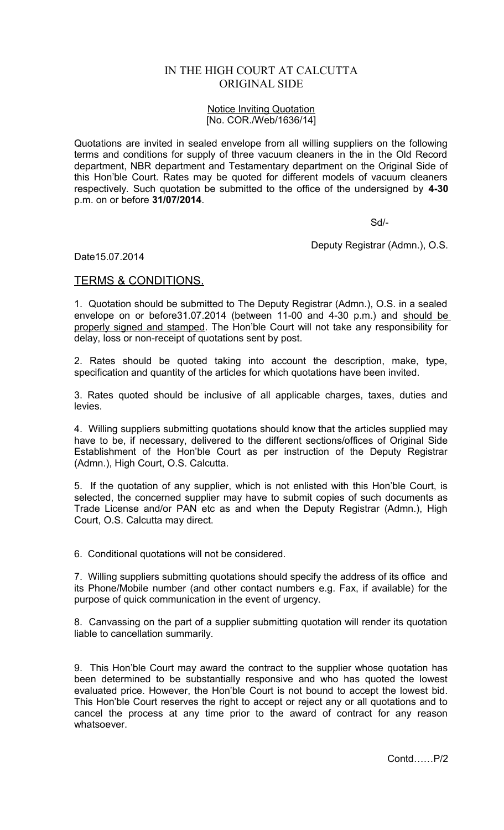## IN THE HIGH COURT AT CALCUTTA ORIGINAL SIDE

## Notice Inviting Quotation [No. COR./Web/1636/14]

Quotations are invited in sealed envelope from all willing suppliers on the following terms and conditions for supply of three vacuum cleaners in the in the Old Record department, NBR department and Testamentary department on the Original Side of this Hon'ble Court. Rates may be quoted for different models of vacuum cleaners respectively. Such quotation be submitted to the office of the undersigned by **4-30** p.m. on or before **31/07/2014**.

Sd/-

Deputy Registrar (Admn.), O.S.

Date15.07.2014

## TERMS & CONDITIONS.

1. Quotation should be submitted to The Deputy Registrar (Admn.), O.S. in a sealed envelope on or before31.07.2014 (between 11-00 and 4-30 p.m.) and should be properly signed and stamped. The Hon'ble Court will not take any responsibility for delay, loss or non-receipt of quotations sent by post.

2. Rates should be quoted taking into account the description, make, type, specification and quantity of the articles for which quotations have been invited.

3. Rates quoted should be inclusive of all applicable charges, taxes, duties and levies.

4. Willing suppliers submitting quotations should know that the articles supplied may have to be, if necessary, delivered to the different sections/offices of Original Side Establishment of the Hon'ble Court as per instruction of the Deputy Registrar (Admn.), High Court, O.S. Calcutta.

5. If the quotation of any supplier, which is not enlisted with this Hon'ble Court, is selected, the concerned supplier may have to submit copies of such documents as Trade License and/or PAN etc as and when the Deputy Registrar (Admn.), High Court, O.S. Calcutta may direct.

6. Conditional quotations will not be considered.

7. Willing suppliers submitting quotations should specify the address of its office and its Phone/Mobile number (and other contact numbers e.g. Fax, if available) for the purpose of quick communication in the event of urgency.

8. Canvassing on the part of a supplier submitting quotation will render its quotation liable to cancellation summarily.

9. This Hon'ble Court may award the contract to the supplier whose quotation has been determined to be substantially responsive and who has quoted the lowest evaluated price. However, the Hon'ble Court is not bound to accept the lowest bid. This Hon'ble Court reserves the right to accept or reject any or all quotations and to cancel the process at any time prior to the award of contract for any reason whatsoever.